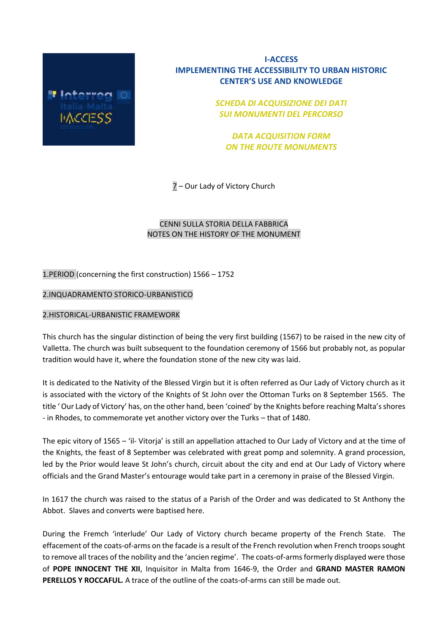

# **I-ACCESS IMPLEMENTING THE ACCESSIBILITY TO URBAN HISTORIC CENTER'S USE AND KNOWLEDGE**

*SCHEDA DI ACQUISIZIONE DEI DATI SUI MONUMENTI DEL PERCORSO*

*DATA ACQUISITION FORM ON THE ROUTE MONUMENTS*

7 – Our Lady of Victory Church

# CENNI SULLA STORIA DELLA FABBRICA NOTES ON THE HISTORY OF THE MONUMENT

1.PERIOD (concerning the first construction) 1566 – 1752

# 2.INQUADRAMENTO STORICO-URBANISTICO

## 2.HISTORICAL-URBANISTIC FRAMEWORK

This church has the singular distinction of being the very first building (1567) to be raised in the new city of Valletta. The church was built subsequent to the foundation ceremony of 1566 but probably not, as popular tradition would have it, where the foundation stone of the new city was laid.

It is dedicated to the Nativity of the Blessed Virgin but it is often referred as Our Lady of Victory church as it is associated with the victory of the Knights of St John over the Ottoman Turks on 8 September 1565. The title ' Our Lady of Victory' has, on the other hand, been 'coined' by the Knights before reaching Malta's shores - in Rhodes, to commemorate yet another victory over the Turks – that of 1480.

The epic vitory of 1565 – 'il- Vitorja' is still an appellation attached to Our Lady of Victory and at the time of the Knights, the feast of 8 September was celebrated with great pomp and solemnity. A grand procession, led by the Prior would leave St John's church, circuit about the city and end at Our Lady of Victory where officials and the Grand Master's entourage would take part in a ceremony in praise of the Blessed Virgin.

In 1617 the church was raised to the status of a Parish of the Order and was dedicated to St Anthony the Abbot. Slaves and converts were baptised here.

During the Fremch 'interlude' Our Lady of Victory church became property of the French State. The effacement of the coats-of-arms on the facade is a result of the French revolution when French troops sought to remove all traces of the nobility and the 'ancien regime'. The coats-of-arms formerly displayed were those of **POPE INNOCENT THE XII**, Inquisitor in Malta from 1646-9, the Order and **GRAND MASTER RAMON PERELLOS Y ROCCAFUL.** A trace of the outline of the coats-of-arms can still be made out.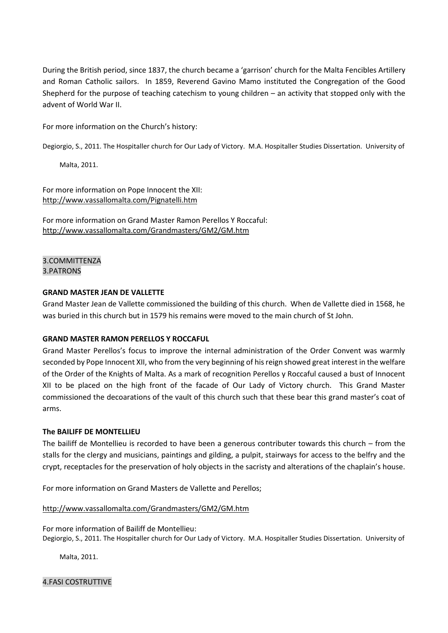During the British period, since 1837, the church became a 'garrison' church for the Malta Fencibles Artillery and Roman Catholic sailors. In 1859, Reverend Gavino Mamo instituted the Congregation of the Good Shepherd for the purpose of teaching catechism to young children – an activity that stopped only with the advent of World War II.

For more information on the Church's history:

Degiorgio, S., 2011. The Hospitaller church for Our Lady of Victory. M.A. Hospitaller Studies Dissertation. University of

Malta, 2011.

For more information on Pope Innocent the XII: <http://www.vassallomalta.com/Pignatelli.htm>

For more information on Grand Master Ramon Perellos Y Roccaful: <http://www.vassallomalta.com/Grandmasters/GM2/GM.htm>

3.COMMITTENZA 3.PATRONS

## **GRAND MASTER JEAN DE VALLETTE**

Grand Master Jean de Vallette commissioned the building of this church. When de Vallette died in 1568, he was buried in this church but in 1579 his remains were moved to the main church of St John.

## **GRAND MASTER RAMON PERELLOS Y ROCCAFUL**

Grand Master Perellos's focus to improve the internal administration of the Order Convent was warmly seconded by Pope Innocent XII, who from the very beginning of his reign showed great interest in the welfare of the Order of the Knights of Malta. As a mark of recognition Perellos y Roccaful caused a bust of Innocent XII to be placed on the high front of the facade of Our Lady of Victory church. This Grand Master commissioned the decoarations of the vault of this church such that these bear this grand master's coat of arms.

## **The BAILIFF DE MONTELLIEU**

The bailiff de Montellieu is recorded to have been a generous contributer towards this church – from the stalls for the clergy and musicians, paintings and gilding, a pulpit, stairways for access to the belfry and the crypt, receptacles for the preservation of holy objects in the sacristy and alterations of the chaplain's house.

For more information on Grand Masters de Vallette and Perellos;

## <http://www.vassallomalta.com/Grandmasters/GM2/GM.htm>

For more information of Bailiff de Montellieu: Degiorgio, S., 2011. The Hospitaller church for Our Lady of Victory. M.A. Hospitaller Studies Dissertation. University of

Malta, 2011.

4.FASI COSTRUTTIVE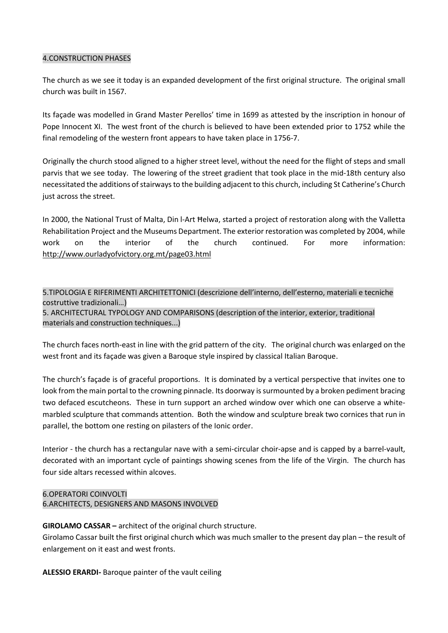## 4.CONSTRUCTION PHASES

The church as we see it today is an expanded development of the first original structure. The original small church was built in 1567.

Its façade was modelled in Grand Master Perellos' time in 1699 as attested by the inscription in honour of Pope Innocent XI. The west front of the church is believed to have been extended prior to 1752 while the final remodeling of the western front appears to have taken place in 1756-7.

Originally the church stood aligned to a higher street level, without the need for the flight of steps and small parvis that we see today. The lowering of the street gradient that took place in the mid-18th century also necessitated the additions of stairways to the building adjacent to this church, including St Catherine's Church just across the street.

In 2000, the National Trust of Malta, Din l-[Art Ħelwa](https://en.wikipedia.org/wiki/Din_l-Art_%C4%A6elwa), started a project of restoration along with the Valletta Rehabilitation Project and the Museums Department. The exterior restoration was completed by 2004, while work on the interior of the church continued. For more information: <http://www.ourladyofvictory.org.mt/page03.html>

5.TIPOLOGIA E RIFERIMENTI ARCHITETTONICI (descrizione dell'interno, dell'esterno, materiali e tecniche costruttive tradizionali…)

5. ARCHITECTURAL TYPOLOGY AND COMPARISONS (description of the interior, exterior, traditional materials and construction techniques...)

The church faces north-east in line with the grid pattern of the city. The original church was enlarged on the west front and its façade was given a Baroque style inspired by classical Italian Baroque.

The church's façade is of graceful proportions. It is dominated by a vertical perspective that invites one to look from the main portal to the crowning pinnacle. Its doorway is surmounted by a broken pediment bracing two defaced escutcheons. These in turn support an arched window over which one can observe a whitemarbled sculpture that commands attention. Both the window and sculpture break two cornices that run in parallel, the bottom one resting on pilasters of the Ionic order.

Interior - the church has a rectangular nave with a semi-circular choir-apse and is capped by a barrel-vault, decorated with an important cycle of paintings showing scenes from the life of the Virgin. The church has four side altars recessed within alcoves.

# 6.OPERATORI COINVOLTI

6.ARCHITECTS, DESIGNERS AND MASONS INVOLVED

# **GIROLAMO CASSAR –** architect of the original church structure.

Girolamo Cassar built the first original church which was much smaller to the present day plan – the result of enlargement on it east and west fronts.

**ALESSIO ERARDI-** Baroque painter of the vault ceiling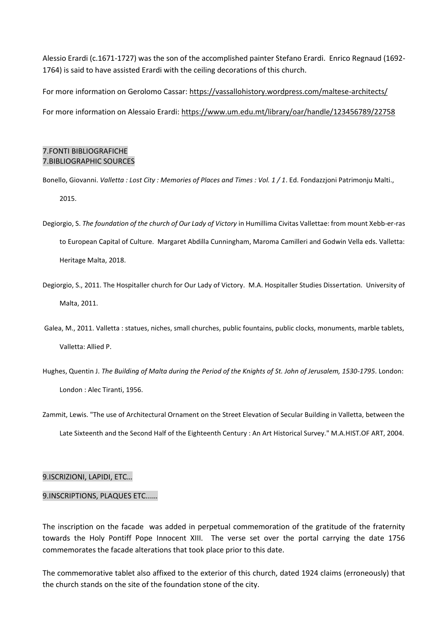Alessio Erardi (c.1671-1727) was the son of the accomplished painter Stefano Erardi. Enrico Regnaud (1692- 1764) is said to have assisted Erardi with the ceiling decorations of this church.

For more information on Gerolomo Cassar: <https://vassallohistory.wordpress.com/maltese-architects/>

For more information on Alessaio Erardi: <https://www.um.edu.mt/library/oar/handle/123456789/22758>

# 7.FONTI BIBLIOGRAFICHE 7.BIBLIOGRAPHIC SOURCES

- Bonello, Giovanni. *Valletta : Lost City : Memories of Places and Times : Vol. 1 / 1*. Ed. Fondazzjoni Patrimonju Malti., 2015.
- Degiorgio, S. *The foundation of the church of Our Lady of Victory* in Humillima Civitas Vallettae: from mount Xebb-er-ras to European Capital of Culture. Margaret Abdilla Cunningham, Maroma Camilleri and Godwin Vella eds. Valletta: Heritage Malta, 2018.
- Degiorgio, S., 2011. The Hospitaller church for Our Lady of Victory. M.A. Hospitaller Studies Dissertation. University of Malta, 2011.
- Galea, M., 2011. Valletta : statues, niches, small churches, public fountains, public clocks, monuments, marble tablets, Valletta: Allied P.
- Hughes, Quentin J. *The Building of Malta during the Period of the Knights of St. John of Jerusalem, 1530-1795*. London: London : Alec Tiranti, 1956.
- Zammit, Lewis. "The use of Architectural Ornament on the Street Elevation of Secular Building in Valletta, between the Late Sixteenth and the Second Half of the Eighteenth Century : An Art Historical Survey." M.A.HIST.OF ART, 2004.

## 9.ISCRIZIONI, LAPIDI, ETC…

## 9.INSCRIPTIONS, PLAQUES ETC...…

The inscription on the facade was added in perpetual commemoration of the gratitude of the fraternity towards the Holy Pontiff Pope Innocent XIII. The verse set over the portal carrying the date 1756 commemorates the facade alterations that took place prior to this date.

The commemorative tablet also affixed to the exterior of this church, dated 1924 claims (erroneously) that the church stands on the site of the foundation stone of the city.